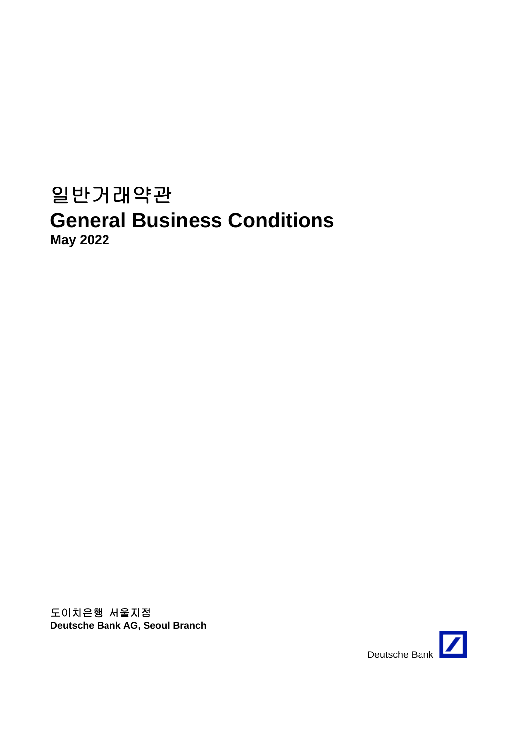# 일반거래약관 **General Business Conditions May 2022**

도이치은행 서울지점 **Deutsche Bank AG, Seoul Branch**

Deutsche Bank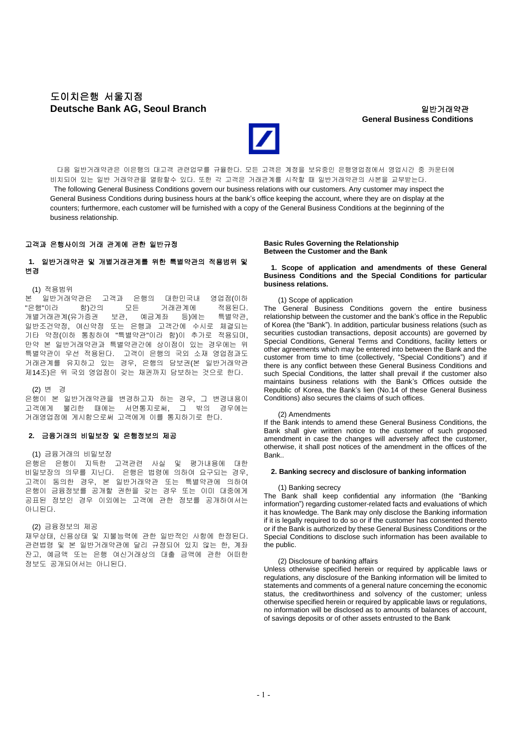# 도이치은행 서울지점 **Deutsche Bank AG, Seoul Branch** 일반거래약관

# **General Business Conditions**



다음 일반거래약관은 이은행의 대고객 관련업무를 규율한다. 모든 고객은 계정을 보유중인 은행영업점에서 영업시간 중 카운터에 비치되어 있는 일반 거래약관을 열람할수 있다. 또한 각 고객은 거래관계를 시작할 때 일반거래약관의 사본을 교부받는다. The following General Business Conditions govern our business relations with our customers. Any customer may inspect the General Business Conditions during business hours at the bank's office keeping the account, where they are on display at the counters; furthermore, each customer will be furnished with a copy of the General Business Conditions at the beginning of the business relationship.

## 고객과 은행사이의 거래 관계에 관한 일반규정

# **1.** 일반거래약관 및 개별거래관계를 위한 특별약관의 적용범위 및 변경

# (1) 적용범위

본 일반거래약관은 고객과 은행의 대한민국내 영업점(이하 "은행"이라 함)간의 모든 거래관계에 적용된다.<br>개별거래관계(유가증권 보관, 예금계좌 등)에는 특별약관, 개별거래관계(유가증권 보관, 예금계좌 등)에는 특별약관, 일반조건약정, 여신약정 또는 은행과 고객간에 수시로 체결되는 기타 약정(이하 통칭하여 "특별약관"이라 함)이 추가로 적용되며, 만약 본 일반거래약관과 특별약관간에 상이점이 있는 경우에는 위 특별약관이 우선 적용된다. 고객이 은행의 국외 소재 영업점과도 거래관계를 유지하고 있는 경우, 은행의 담보권(본 일반거래약관 제14조)은 위 국외 영업점이 갖는 채권까지 담보하는 것으로 한다.

#### (2) 변 경

은행이 본 일반거래약관을 변경하고자 하는 경우, 그 변경내용이 고객에게 불리한 때에는 서면통지로써, 그 밖의 경우에는 거래영업점에 게시함으로써 고객에게 이를 통지하기로 한다.

## **2.** 금융거래의 비밀보장 및 은행정보의 제공

## (1) 금융거래의 비밀보장

은행은 은행이 지득한 고객관련 사실 및 평가내용에 대한 비밀보장의 의무를 지닌다. 은행은 법령에 의하여 요구되는 경우, 고객이 동의한 경우, 본 일반거래약관 또는 특별약관에 의하여 은행이 금융정보를 공개할 권한을 갖는 경우 또는 이미 대중에게 공표된 정보인 경우 이외에는 고객에 관한 정보를 공개하여서는 아니된다.

## (2) 금융정보의 제공

재무상태, 신용상태 및 지불능력에 관한 일반적인 사항에 한정된다. 관련법령 및 본 일반거래약관에 달리 규정되어 있지 않는 한, 계좌 잔고, 예금액 또는 은행 여신거래상의 대출 금액에 관한 어떠한 정보도 공개되어서는 아니된다.

#### **Basic Rules Governing the Relationship Between the Customer and the Bank**

#### **1. Scope of application and amendments of these General Business Conditions and the Special Conditions for particular business relations.**

## (1) Scope of application

The General Business Conditions govern the entire business relationship between the customer and the bank's office in the Republic of Korea (the "Bank"). In addition, particular business relations (such as securities custodian transactions, deposit accounts) are governed by Special Conditions, General Terms and Conditions, facility letters or other agreements which may be entered into between the Bank and the customer from time to time (collectively, "Special Conditions") and if there is any conflict between these General Business Conditions and such Special Conditions, the latter shall prevail if the customer also maintains business relations with the Bank's Offices outside the Republic of Korea, the Bank's lien (No.14 of these General Business Conditions) also secures the claims of such offices.

#### (2) Amendments

If the Bank intends to amend these General Business Conditions, the Bank shall give written notice to the customer of such proposed amendment in case the changes will adversely affect the customer, otherwise, it shall post notices of the amendment in the offices of the Bank..

#### **2. Banking secrecy and disclosure of banking information**

#### (1) Banking secrecy

The Bank shall keep confidential any information (the "Banking information") regarding customer-related facts and evaluations of which it has knowledge. The Bank may only disclose the Banking information if it is legally required to do so or if the customer has consented thereto or if the Bank is authorized by these General Business Conditions or the Special Conditions to disclose such information has been available to the public.

#### (2) Disclosure of banking affairs

Unless otherwise specified herein or required by applicable laws or regulations, any disclosure of the Banking information will be limited to statements and comments of a general nature concerning the economic status, the creditworthiness and solvency of the customer; unless otherwise specified herein or required by applicable laws or regulations, no information will be disclosed as to amounts of balances of account, of savings deposits or of other assets entrusted to the Bank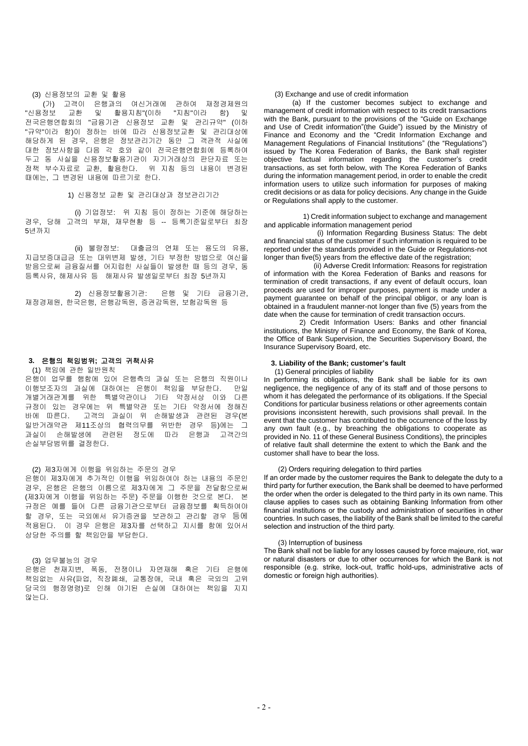#### (3) 신용정보의 교환 및 활용

(가) 고객이 은행과의 여신거래에 관하여 재정경제원의 교환 및 활용지침"(이하 "지침"이라 함) 및 전국은행연합회의 "금융기관 신용정보 교환 및 관리규약" (이하 "규약"이라 함)이 정하는 바에 따라 신용정보교환 및 관리대상에 해당하게 된 경우, 은행은 정보관리기간 동안 그 객관적 사실에 대한 정보사항을 다음 각 호와 같이 전국은행연합회에 등록하여 두고 동 사실을 신용정보활용기관이 자기거래상의 판단자료 또는 정책 부수자료로 교환, 활용한다. 위 지침 등의 내용이 변경된 때에는, 그 변경된 내용에 따르기로 한다.

1) 신용정보 교환 및 관리대상과 정보관리기간

(i) 기업정보: 위 지침 등이 정하는 기준에 해당하는 경우, 당해 고객의 부채, 재무현황 등 -- 등록기준일로부터 최장 5년까지

(ii) 불량정보: 대출금의 연체 또는 용도의 유용, 지급보증대급금 또는 대위변제 발생, 기타 부정한 방법으로 여신을 받음으로써 금융질서를 어지럽힌 사실들이 발생한 때 등의 경우, 동 등록사유, 해제사유 등 해제사유 발생일로부터 최장 5년까지

2) 신용정보활용기관: 은행 및 기타 금융기관, 재정경제원, 한국은행, 은행감독원, 증권감독원, 보험감독원 등

## **3.** 은행의 책임범위**;** 고객의 귀책사유

#### (1) 책임에 관한 일반원칙

은행이 업무를 행함에 있어 은행측의 과실 또는 은행의 직원이나 이행보조자의 과실에 대하여는 은행이 책임을 부담한다. 만일 개별거래관계를 위한 특별약관이나 기타 약정서상 이와 다른 규정이 있는 경우에는 위 특별약관 또는 기타 약정서에 정해진 바에 따른다. 고객의 과실이 위 손해발생과 관련된 경우(본 일반거래약관 제11조상의 협력의무를 위반한 경우 등)에는 그 과실이 손해발생에 관련된 정도에 따라 은행과 고객간의 손실부담범위를 결정한다.

## (2) 제3자에게 이행을 위임하는 주문의 경우

은행이 제3자에게 추가적인 이행을 위임하여야 하는 내용의 주문인 경우, 은행은 은행의 이름으로 제3자에게 그 주문을 전달함으로써 (제3자에게 이행을 위임하는 주문) 주문을 이행한 것으로 본다. 본 규정은 예를 들어 다른 금융기관으로부터 금융정보를 획득하여야 할 경우, 또는 국외에서 유가증권을 보관하고 관리할 경우 등에 적용된다. 이 경우 은행은 제3자를 선택하고 지시를 함에 있어서 상당한 주의를 할 책임만을 부담한다.

## (3) 업무불능의 경우

은행은 천재지변, 폭동, 전쟁이나 자연재해 혹은 기타 은행에 책임없는 사유(파업, 직장폐쇄, 교통장애, 국내 혹은 국외의 고위 당국의 행정명령)로 인해 야기된 손실에 대하여는 책임을 지지 않는다.

## (3) Exchange and use of credit information

 (a) If the customer becomes subject to exchange and management of credit information with respect to its credit transactions with the Bank, pursuant to the provisions of the "Guide on Exchange and Use of Credit information"(the Guide") issued by the Ministry of Finance and Economy and the "Credit Information Exchange and Management Regulations of Financial Institutions" (the "Regulations") issued by The Korea Federation of Banks, the Bank shall register objective factual information regarding the customer's credit transactions, as set forth below, with The Korea Federation of Banks during the information management period, in order to enable the credit information users to utilize such information for purposes of making credit decisions or as data for policy decisions. Any change in the Guide or Regulations shall apply to the customer.

1) Credit information subject to exchange and management and applicable information management period

(i) Information Regarding Business Status: The debt and financial status of the customer if such information is required to be reported under the standards provided in the Guide or Regulations-not longer than five(5) years from the effective date of the registration:

(ii) Adverse Credit Information: Reasons for registration of information with the Korea Federation of Banks and reasons for termination of credit transactions, if any event of default occurs, loan proceeds are used for improper purposes, payment is made under a payment guarantee on behalf of the principal obligor, or any loan is obtained in a fraudulent manner-not longer than five (5) years from the date when the cause for termination of credit transaction occurs.

2) Credit Information Users: Banks and other financial institutions, the Ministry of Finance and Economy, the Bank of Korea, the Office of Bank Supervision, the Securities Supervisory Board, the Insurance Supervisory Board, etc.

## **3. Liability of the Bank; customer's fault**

(1) General principles of liability

In performing its obligations, the Bank shall be liable for its own negligence, the negligence of any of its staff and of those persons to whom it has delegated the performance of its obligations. If the Special Conditions for particular business relations or other agreements contain provisions inconsistent herewith, such provisions shall prevail. In the event that the customer has contributed to the occurrence of the loss by any own fault (e.g., by breaching the obligations to cooperate as provided in No. 11 of these General Business Conditions), the principles of relative fault shall determine the extent to which the Bank and the customer shall have to bear the loss.

#### (2) Orders requiring delegation to third parties

If an order made by the customer requires the Bank to delegate the duty to a third party for further execution, the Bank shall be deemed to have performed the order when the order is delegated to the third party in its own name. This clause applies to cases such as obtaining Banking Information from other financial institutions or the custody and administration of securities in other countries. In such cases, the liability of the Bank shall be limited to the careful selection and instruction of the third party.

#### (3) Interruption of business

The Bank shall not be liable for any losses caused by force majeure, riot, war or natural disasters or due to other occurrences for which the Bank is not responsible (e.g. strike, lock-out, traffic hold-ups, administrative acts of domestic or foreign high authorities).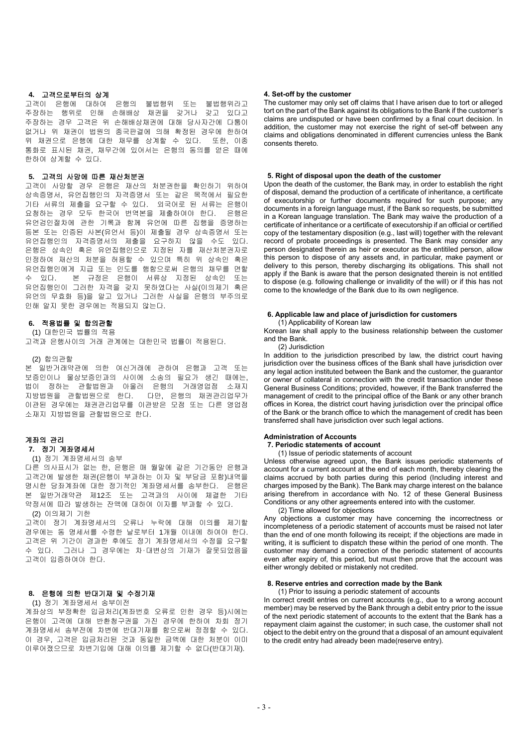## **4.** 고객으로부터의 상계

고객이 은행에 대하여 은행의 불법행위 또는 불법행위라고 주장하는 행위로 인해 손해배상 채권을 갖거나 갖고 있다고 주장하는 경우 고객은 위 손해배상채권에 대해 당사자간에 다툼이 없거나 위 채권이 법원의 종국판결에 의해 확정된 경우에 한하여 위 채권으로 은행에 대한 채무를 상계할 수 있다. 또한, 이종 통화로 표시된 채권, 채무간에 있어서는 은행의 동의를 얻은 때에 한하여 상계할 수 있다.

## **5.** 고객의 사망에 따른 재산처분권

고객이 사망할 경우 은행은 재산의 처분권한을 확인하기 위하여 상속증명서, 유언집행인의 자격증명서 또는 같은 목적에서 필요한 기타 서류의 제출을 요구할 수 있다. 외국어로 된 서류는 은행이 요청하는 경우 모두 한국어 번역본을 제출하여야 한다. 은행은 유언검인절차에 관한 기록과 함께 유언에 따른 집행을 증명하는 등본 또는 인증된 사본(유언서 등)이 제출될 경우 상속증명서 또는 유언집행인의 자격증명서의 제출을 요구하지 않을 수도 있다. 은행은 상속인 혹은 유언집행인으로 지정된 자를 재산처분권자로 인정하여 재산의 처분을 허용할 수 있으며 특히 위 상속인 혹은 유언집행인에게 지급 또는 인도를 행함으로써 은행의 채무를 면할 수 있다. 본 규정은 은행이 서류상 지정된 상속인 또는 유언집행인이 그러한 자격을 갖지 못하였다는 사실(이의제기 혹은 유언의 무효화 등)을 알고 있거나 그러한 사실을 은행의 부주의로 인해 알지 못한 경우에는 적용되지 않는다.

## **6.** 적용법률 및 합의관할

(1) 대한민국 법률의 적용

고객과 은행사이의 거래 관계에는 대한민국 법률이 적용된다.

## (2) 합의관할

본 일반거래약관에 의한 여신거래에 관하여 은행과 고객 또는 보증인이나 물상보증인과의 사이에 소송의 필요가 생긴 때에는, 법이 정하는 관할법원과 아울러 은행의 거래영업점 소재지 지방법원을 관할법원으로 한다. 다만, 은행의 채권관리업무가 이관된 경우에는 채권관리업무를 이관받은 모점 또는 다른 영업점 소재지 지방법원을 관할법원으로 한다.

# 계좌의 관리

## **7.** 정기 계좌명세서 (1) 정기 계좌명세서의 송부

다른 의사표시가 없는 한, 은행은 매 월말에 같은 기간동안 은행과 고객간에 발생한 채권(은행이 부과하는 이자 및 부담금 포함)내역을 명시한 당좌계좌에 대한 정기적인 계좌명세서를 송부한다. 은행은 본 일반거래약관 제12조 또는 고객과의 사이에 체결한 기타 약정서에 따라 발생하는 잔액에 대하여 이자를 부과할 수 있다. (2) 이의제기 기한

고객이 정기 계좌명세서의 오류나 누락에 대해 이의를 제기할 경우에는 동 명세서를 수령한 날로부터 1개월 이내에 하여야 한다. 고객은 위 기간이 경과한 후에도 정기 계좌명세서의 수정을 요구할 수 있다. 그러나 그 경우에는 차∙대변상의 기재가 잘못되었음을 고객이 입증하여야 한다.

## **8.** 은행에 의한 반대기재 및 수정기재

# (1) 정기 계좌명세서 송부이전

계좌상의 부정확한 입금처리(계좌번호 오류로 인한 경우 등)시에는 은행이 고객에 대해 반환청구권을 가진 경우에 한하여 차회 정기 계좌명세서 송부전에 차변에 반대기재를 함으로써 정정할 수 있다. 이 경우, 고객은 입금처리된 것과 동일한 금액에 대한 처분이 이미 이루어졌으므로 차변기입에 대해 이의를 제기할 수 없다(반대기재).

## **4. Set-off by the customer**

The customer may only set off claims that I have arisen due to tort or alleged tort on the part of the Bank against its obligations to the Bank if the customer's claims are undisputed or have been confirmed by a final court decision. In addition, the customer may not exercise the right of set-off between any claims and obligations denominated in different currencies unless the Bank consents thereto.

#### **5. Right of disposal upon the death of the customer**

Upon the death of the customer, the Bank may, in order to establish the right of disposal, demand the production of a certificate of inheritance, a certificate of executorship or further documents required for such purpose; any documents in a foreign language must, if the Bank so requests, be submitted in a Korean language translation. The Bank may waive the production of a certificate of inheritance or a certificate of executorship if an official or certified copy of the testamentary disposition (e.g., last will) together with the relevant record of probate proceedings is presented. The Bank may consider any person designated therein as heir or executor as the entitiled person, allow this person to dispose of any assets and, in particular, make payment or delivery to this person, thereby discharging its obligations. This shall not apply if the Bank is aware that the person designated therein is not entitled to dispose (e.g. following challenge or invalidity of the will) or if this has not come to the knowledge of the Bank due to its own negligence.

# **6. Applicable law and place of jurisdiction for customers**

#### (1) Applicability of Korean law

Korean law shall apply to the business relationship between the customer and the Bank.

## (2) Jurisdiction

In addition to the jurisdiction prescribed by law, the district court having jurisdiction over the business offices of the Bank shall have jurisdiction over any legal action instituted between the Bank and the customer, the guarantor or owner of collateral in connection with the credit transaction under these General Business Conditions; provided, however, if the Bank transferred the management of credit to the principal office of the Bank or any other branch offices in Korea, the district court having jurisdiction over the principal office of the Bank or the branch office to which the management of credit has been transferred shall have jurisdiction over such legal actions.

#### **Administration of Accounts**

#### **7. Periodic statements of account**

(1) Issue of periodic statements of account

Unless otherwise agreed upon, the Bank issues periodic statements of account for a current account at the end of each month, thereby clearing the claims accrued by both parties during this period (Including interest and charges imposed by the Bank). The Bank may charge interest on the balance arising therefrom in accordance with No. 12 of these General Business Conditions or any other agreements entered into with the customer.

# (2) Time allowed for objections

Any objections a customer may have concerning the incorrectness or incompleteness of a periodic statement of accounts must be raised not later than the end of one month following its receipt; if the objections are made in writing, it is sufficient to dispatch these within the period of one month. The customer may demand a correction of the periodic statement of accounts even after expiry of, this period, but must then prove that the account was either wrongly debited or mistakenly not credited.

#### **8. Reserve entries and correction made by the Bank**

(1) Prior to issuing a periodic statement of accounts

In correct credit entries on current accounts (e.g., due to a wrong account member) may be reserved by the Bank through a debit entry prior to the issue of the next periodic statement of accounts to the extent that the Bank has a repayment claim against the customer; in such case, the customer shall not object to the debit entry on the ground that a disposal of an amount equivalent to the credit entry had already been made(reserve entry).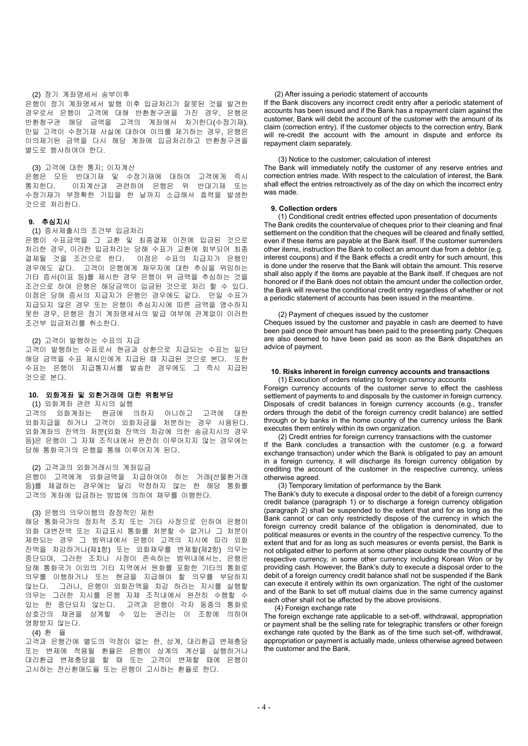#### (2) 정기 계좌명세서 송부이후

은행이 정기 계좌명세서 발행 이후 입금처리가 잘못된 것을 발견한 경우로서 은행이 고객에 대해 반환청구권을 가진 경우, 은행은 반환청구권 해당 금액을 고객의 계좌에서 차기한다(수정기재). 만일 고객이 수정기재 사실에 대하여 이의를 제기하는 경우, 은행은 이의제기된 금액을 다시 해당 계좌에 입금처리하고 반환청구권을 별도로 행사하여야 한다.

#### (3) 고객에 대한 통지; 이자계산

은행은 모든 반대기재 및 수정기재에 대하여 고객에게 즉시 통지한다. 이자계산과 관련하여 은행은 위 반대기재 또는 수정기재가 부정확한 기입을 한 날까지 소급해서 효력을 발생한 것으로 처리한다.

## **9.** 추심지시

#### (1) 증서제출시의 조건부 입금처리

은행이 수표금액을 그 교환 및 최종결제 이전에 입금된 것으로 처리한 경우, 이러한 입금처리는 당해 수표가 교환에 회부되어 최종 결제될 것을 조건으로 한다. 이점은 수표의 지급지가 은행인 경우에도 같다. 고객이 은행에게 채무자에 대한 추심을 위임하는 기타 증서(이표 등)를 제시한 경우 은행이 위 금액을 추심하는 것을 조건으로 하여 은행은 해당금액이 입금된 것으로 처리 할 수 있다. 이점은 당해 증서의 지급지가 은행인 경우에도 같다. 만일 수표가 지급되지 않은 경우 또는 은행이 추심지시에 따른 금액을 영수하지 못한 경우, 은행은 정기 계좌명세서의 발급 여부에 관계없이 이러한 조건부 입금처리를 취소한다.

#### (2) 고객이 발행하는 수표의 지급

고객이 발행하는 수표로서 현금과 상환으로 지급되는 수표는 일단 해당 금액을 수표 제시인에게 지급된 때 지급된 것으로 본다. 또한 수표는 은행이 지급통지서를 발송한 경우에도 그 즉시 지급된 것으로 본다.

## **10.** 외화계좌 및 외환거래에 대한 위험부담

## (1) 외화계좌 관련 지시의 실행

고객의 외화계좌는 현금에 의하지 아니하고 고객에 대한 외화지급을 하거나 고객이 외화자금을 처분하는 경우 사용된다. 외화계좌의 잔액의 처분(외화 잔액의 차감에 의한 송금지시의 경우 등)은 은행이 그 자체 조직내에서 완전히 이루어지지 않는 경우에는 당해 통화국가의 은행을 통해 이루어지게 된다.

#### (2) 고객과의 외화거래시의 계좌입금

은행이 고객에게 외화금액을 지급하여야 하는 거래(선물환거래 등)를 체결하는 경우에는 달리 약정하지 않는 한 해당 통화를 고객의 계좌에 입금하는 방법에 의하여 채무를 이행한다.

#### (3) 은행의 의무이행의 잠정적인 제한

해당 통화국가의 정치적 조치 또는 기타 사정으로 인하여 은행이 외화 대변잔액 또는 지급표시 통화를 처분할 수 없거나 그 처분이 제한되는 경우 그 범위내에서 은행이 고객의 지시에 따라 외화 잔액을 차감하거나(제1항) 또는 외화채무를 변제할(제2항) 의무는 중단되며, 그러한 조치나 사정이 존속하는 범위내에서는, 은행은 당해 통화국가 이외의 기타 지역에서 원화를 포함한 기타의 통화로 의무를 이행하거나 또는 현금을 지급해야 할 의무를 부담하지 않는다. 그러나, 은행이 외화잔액을 차감 하라는 지시를 실행할 의무는 그러한 지시를 은행 자체 조직내에서 완전히 수행할 수 있는 한 중단되지 않는다. 고객과 은행이 각자 동종의 통화로 상호간의 채권을 상계할 수 있는 권리는 이 조항에 의하여 영향받지 않는다.

## (4) 환 율

고객과 은행간에 별도의 약정이 없는 한, 상계, 대리환급 변제충당 또는 변제에 적용될 환율은 은행이 상계의 계산을 실행하거나 대리환급 변제충당을 할 때 또는 고객이 변제할 때에 은행이 고시하는 전신환매도율 또는 은행이 고시하는 환율로 한다.

## (2) After issuing a periodic statement of accounts

If the Bank discovers any incorrect credit entry after a periodic statement of accounts has been issued and if the Bank has a repayment claim against the customer, Bank will debit the account of the customer with the amount of its claim (correction entry). If the customer objects to the correction entry, Bank will re-credit the account with the amount in dispute and enforce its repayment claim separately.

## (3) Notice to the customer; calculation of interest

The Bank will immediately notify the customer of any reserve entries and correction entries made. With respect to the calculation of interest, the Bank shall effect the entries retroactively as of the day on which the incorrect entry was made.

## **9. Collection orders**

(1) Conditional credit entries effected upon presentation of documents The Bank credits the countervalue of cheques prior to their cleaning and final settlement on the condition that the cheques will be cleared and finally settled, even if these items are payable at the Bank itself. If the customer surrenders other items, instruction the Bank to collect an amount due from a debtor (e.g. interest coupons) and if the Bank effects a credit entry for such amount, this is done under the reserve that the Bank will obtain the amount. This reserve shall also apply if the items are payable at the Bank itself. If cheques are not honored or if the Bank does not obtain the amount under the collection order, the Bank will reverse the conditional credit entry regardless of whether or not a periodic statement of accounts has been issued in the meantime.

## (2) Payment of cheques issued by the customer

Cheques issued by the customer and payable in cash are deemed to have been paid once their amount has been paid to the presenting party. Cheques are also deemed to have been paid as soon as the Bank dispatches an advice of payment.

# **10. Risks inherent in foreign currency accounts and transactions**

 (1) Execution of orders relating to foreign currency accounts Foreign currency accounts of the customer serve to effect the cashless settlement of payments to and disposals by the customer in foreign currency. Disposals of credit balances in foreign currency accounts (e.g., transfer orders through the debit of the foreign currency credit balance) are settled through or by banks in the home country of the currency unless the Bank executes them entirely within its own organization.

 (2) Credit entries for foreign currency transactions with the customer If the Bank concludes a transaction with the customer (e.g. a forward exchange transaction) under which the Bank is obligated to pay an amount in a foreign currency, it will discharge its foreign currency obligation by crediting the account of the customer in the respective currency, unless otherwise agreed.

(3) Temporary limitation of performance by the Bank

The Bank's duty to execute a disposal order to the debit of a foreign currency credit balance (paragraph 1) or to discharge a foreign currency obligation (paragraph 2) shall be suspended to the extent that and for as long as the Bank cannot or can only restrictedly dispose of the currency in which the foreign currency credit balance of the obligation is denominated, due to political measures or events in the country of the respective currency. To the extent that and for as long as such measures or events persist, the Bank is not obligated either to perform at some other place outside the country of the respective currency, in some other currency including Korean Won or by providing cash. However, the Bank's duty to execute a disposal order to the debit of a foreign currency credit balance shall not be suspended if the Bank can execute it entirely within its own organization. The right of the customer and of the Bank to set off mutual claims due in the same currency against each other shall not be affected by the above provisions.

#### (4) Foreign exchange rate

The foreign exchange rate applicable to a set-off, withdrawal, appropriation or payment shall be the selling rate for telegraphic transfers or other foreign exchange rate quoted by the Bank as of the time such set-off, withdrawal, appropriation or payment is actually made, unless otherwise agreed between the customer and the Bank.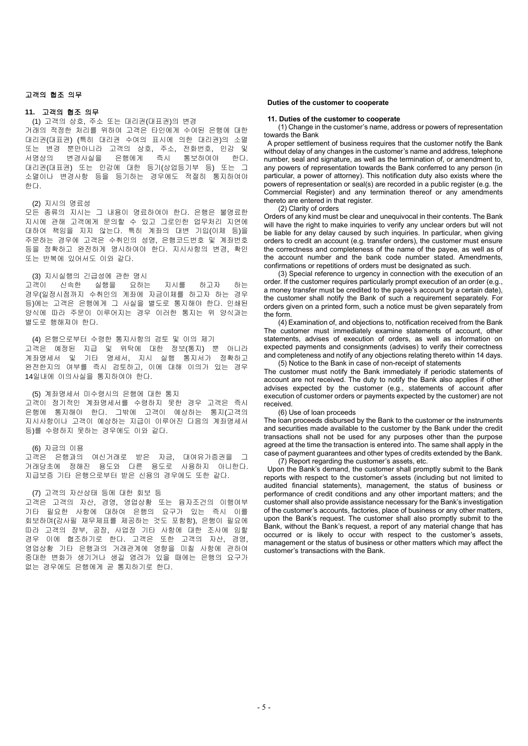## **11.** 고객의 협조 의무

(1) 고객의 상호, 주소 또는 대리권(대표권)의 변경

거래의 적정한 처리를 위하여 고객은 타인에게 수여된 은행에 대한 대리권(대표권) (특히 대리권 수여의 표시에 의한 대리권)의 소멸 또는 변경 뿐만아니라 고객의 상호, 주소, 전화번호, 인감 및 서명상의 변경사실을 은행에게 즉시 통보하여야 한다. 대리권(대표권) 또는 인감에 대한 등기(상업등기부 등) 또는 그 소멸이나 변경사항 등을 등기하는 경우에도 적절히 통지하여야 한다.

## (2) 지시의 명료성

모든 종류의 지시는 그 내용이 명료하여야 한다. 은행은 불명료한 지시에 관해 고객에게 문의할 수 있고 그로인한 업무처리 지연에 대하여 책임을 지지 않는다. 특히 계좌의 대변 기입(이체 등)을 주문하는 경우에 고객은 수취인의 성명, 은행코드번호 및 계좌번호 등을 정확하고 완전하게 명시하여야 한다. 지시사항의 변경, 확인 또는 반복에 있어서도 이와 같다.

# (3) 지시실행의 긴급성에 관한 명시<br>!객이 : 신속한 : 실행을 : 요하는

고객이 신속한 실행을 요하는 지시를 하고자 하는 경우(일정시점까지 수취인의 계좌에 자금이체를 하고자 하는 경우 등)에는 고객은 은행에게 그 사실을 별도로 통지해야 한다. 인쇄된 양식에 따라 주문이 이루어지는 경우 이러한 통지는 위 양식과는 별도로 행해져야 한다.

(4) 은행으로부터 수령한 통지사항의 검토 및 이의 제기 고객은 예정된 지급 및 위탁에 대한 정보(통지) 뿐 아니라 계좌명세서 및 기타 명세서, 지시 실행 통지서가 정확하고 완전한지의 여부를 즉시 검토하고, 이에 대해 이의가 있는 경우 14일내에 이의사실을 통지하여야 한다.

(5) 계좌명세서 미수령시의 은행에 대한 통지 고객이 정기적인 계좌명세서를 수령하지 못한 경우 고객은 즉시 은행에 통지해야 한다. 그밖에 고객이 예상하는 통지(고객의 지시사항이나 고객이 예상하는 지급이 이루어진 다음의 계좌명세서 등)를 수령하지 못하는 경우에도 이와 같다.

## (6) 자금의 이용

고객은 은행과의 여신거래로 받은 자금, 대여유가증권을 그 거래당초에 정해진 용도와 다른 용도로 사용하지 아니한다. 지급보증 기타 은행으로부터 받은 신용의 경우에도 또한 같다.

## (7) 고객의 자산상태 등에 대한 회보 등

고객은 고객의 자산, 경영, 영업상황 또는 융자조건의 이행여부 기타 필요한 사항에 대하여 은행의 요구가 있는 즉시 이를 회보하며(감사필 재무제표를 제공하는 것도 포함함), 은행이 필요에 따라 고객의 장부, 공장, 사업장 기타 사항에 대한 조사에 임할 경우 이에 협조하기로 한다. 고객은 또한 고객의 자산, 경영, 영업상황 기타 은행과의 거래관계에 영향을 미칠 사항에 관하여 중대한 변화가 생기거나 생길 염려가 있을 때에는 은행의 요구가 없는 경우에도 은행에게 곧 통지하기로 한다.

#### **Duties of the customer to cooperate**

#### **11. Duties of the customer to cooperate**

 (1) Change in the customer's name, address or powers of representation towards the Bank

A proper settlement of business requires that the customer notify the Bank without delay of any changes in the customer's name and address, telephone number, seal and signature, as well as the termination of, or amendment to, any powers of representation towards the Bank conferred to any person (in particular, a power of attorney). This notification duty also exists where the powers of representation or seal(s) are recorded in a public register (e.g. the Commercial Register) and any termination thereof or any amendments thereto are entered in that register

(2) Clarity of orders

Orders of any kind must be clear and unequivocal in their contents. The Bank will have the right to make inquiries to verify any unclear orders but will not be liable for any delay caused by such inquiries. In particular, when giving orders to credit an account (e.g. transfer orders), the customer must ensure the correctness and completeness of the name of the payee, as well as of the account number and the bank code number stated. Amendments, confirmations or repetitions of orders must be designated as such.

 (3) Special reference to urgency in connection with the execution of an order. If the customer requires particularly prompt execution of an order (e.g., a money transfer must be credited to the payee's account by a certain date), the customer shall notify the Bank of such a requirement separately. For orders given on a printed form, such a notice must be given separately from the form.

 (4) Examination of, and objections to, notification received from the Bank The customer must immediately examine statements of account, other statements, advises of execution of orders, as well as information on expected payments and consignments (advises) to verify their correctness and completeness and notify of any objections relating thereto within 14 days. (5) Notice to the Bank in case of non-receipt of statements

The customer must notify the Bank immediately if periodic statements of account are not received. The duty to notify the Bank also applies if other advises expected by the customer (e.g., statements of account after execution of customer orders or payments expected by the customer) are not received.

## (6) Use of loan proceeds

The loan proceeds disbursed by the Bank to the customer or the instruments and securities made available to the customer by the Bank under the credit transactions shall not be used for any purposes other than the purpose agreed at the time the transaction is entered into. The same shall apply in the case of payment guarantees and other types of credits extended by the Bank.

(7) Report regarding the customer's assets, etc.

Upon the Bank's demand, the customer shall promptly submit to the Bank reports with respect to the customer's assets (including but not limited to audited financial statements), management, the status of business or performance of credit conditions and any other important matters; and the customer shall also provide assistance necessary for the Bank's investigation of the customer's accounts, factories, place of business or any other matters, upon the Bank's request. The customer shall also promptly submit to the Bank, without the Bank's request, a report of any material change that has occurred or is likely to occur with respect to the customer's assets, management or the status of business or other matters which may affect the customer's transactions with the Bank.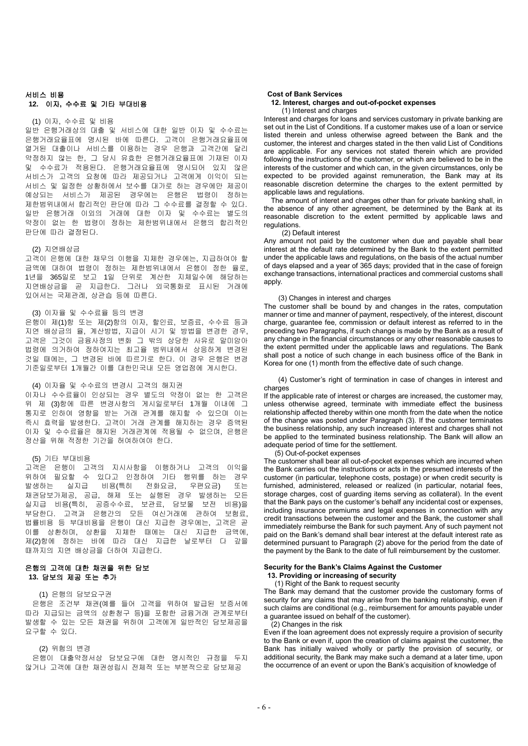## 서비스 비용 **12.** 이자**,** 수수료 및 기타 부대비용

## (1) 이자, 수수료 및 비용

일반 은행거래상의 대출 및 서비스에 대한 일반 이자 및 수수료는 은행거래요율표에 명시된 바에 따른다. 고객이 은행거래요율표에 열거된 대출이나 서비스를 이용하는 경우 은행과 고객간에 달리 약정하지 않는 한, 그 당시 유효한 은행거래요율표에 기재된 이자 및 수수료가 적용된다. 은행거래요율표에 명시되어 있지 않은 서비스가 고객의 요청에 따라 제공되거나 고객에게 이익이 되는 서비스 및 일정한 상황하에서 보수를 대가로 하는 경우에만 제공이 예상되는 서비스가 제공된 경우에는 은행은 법령이 정하는 제한범위내에서 합리적인 판단에 따라 그 수수료를 결정할 수 있다. 일반 은행거래 이외의 거래에 대한 이자 및 수수료는 별도의 약정이 없는 한 법령이 정하는 제한범위내에서 은행의 합리적인 판단에 따라 결정된다.

#### (2) 지연배상금

고객이 은행에 대한 채무의 이행을 지체한 경우에는, 지급하여야 할 금액에 대하여 법령이 정하는 제한범위내에서 은행이 정한 율로, 1년을 365일로 보고 1일 단위로 계산한 지체일수에 해당하는 지연배상금을 곧 지급한다. 그러나 외국통화로 표시된 거래에 있어서는 국제관례, 상관습 등에 따른다.

#### (3) 이자율 및 수수료율 등의 변경

은행이 제(1)항 또는 제(2)항의 이자, 할인료, 보증료, 수수료 등과 지연 배상금의 율, 계산방법, 지급이 시기 및 방법을 변경한 경우, 고객은 그것이 금융사정의 변화 그 밖의 상당한 사유로 말미암아 법령에 의거하여 정하여지는 최고율 범위내에서 상응하게 변경된 것일 때에는, 그 변경된 바에 따르기로 한다. 이 경우 은행은 변경 기준일로부터 1개월간 이를 대한민국내 모든 영업점에 게시한다.

#### (4) 이자율 및 수수료의 변경시 고객의 해지권

이자나 수수료율이 인상되는 경우 별도의 약정이 없는 한 고객은 위 제 (3)항에 따른 변경사항의 게시일로부터 1개월 이내에 그 통지로 인하여 영향을 받는 거래 관계를 해지할 수 있으며 이는 즉시 효력을 발생한다. 고객이 거래 관계를 해지하는 경우 증액된 이자 및 수수료율은 해지된 거래관계에 적용될 수 없으며, 은행은 정산을 위해 적정한 기간을 허여하여야 한다.

#### (5) 기타 부대비용

고객은 은행이 고객의 지시사항을 이행하거나 고객의 이익을 위하여 필요할 수 있다고 인정하여 기타 행위를 하는 경우 발생하는 실지급 비용(특히 전화요금, 우편요금) 또는 채권담보가제공, 공급, 해제 또는 실행된 경우 발생하는 모든 실지급 비용(특히, 공증수수료, 보관료, 담보물 보전 비용)을 부담한다. 고객과 은행간의 모든 여신거래에 관하여 보험료, 법률비용 등 부대비용을 은행이 대신 지급한 경우에는, 고객은 곧 이를 상환하며, 상환을 지체한 때에는 대신 지급한 금액에, 제(2)항에 정하는 바에 따라 대신 지급한 날로부터 다 갚을 때까지의 지연 배상금을 더하여 지급한다.

## 은행의 고객에 대한 채권을 위한 담보 **13.** 담보의 제공 또는 추가

#### (1) 은행의 담보요구권

은행은 조건부 채권(예를 들어 고객을 위하여 발급된 보증서에 따라 지급되는 금액의 상환청구 등)을 포함한 금융거래 관계로부터 발생할 수 있는 모든 채권을 위하여 고객에게 일반적인 담보제공을 요구할 수 있다.

## (2) 위험의 변경

은행이 대출약정서상 담보요구에 대한 명시적인 규정을 두지 않거나 고객에 대한 채권성립시 전체적 또는 부분적으로 담보제공

## **Cost of Bank Services**

## **12. Interest, charges and out-of-pocket expenses** (1) Interest and charges

Interest and charges for loans and services customary in private banking are set out in the List of Conditions. If a customer makes use of a loan or service listed therein and unless otherwise agreed between the Bank and the customer, the interest and charges stated in the then valid List of Conditions are applicable. For any services not stated therein which are provided following the instructions of the customer, or which are believed to be in the interests of the customer and which can, in the given circumstances, only be expected to be provided against remuneration, the Bank may at its reasonable discretion determine the charges to the extent permitted by applicable laws and regulations.

The amount of interet and charges other than for private banking shall, in the absence of any other agreement, be determined by the Bank at its reasonable discretion to the extent permitted by applicable laws and regulations.

#### (2) Default interest

Any amount not paid by the customer when due and payable shall bear interest at the default rate determined by the Bank to the extent permitted under the applicable laws and regulations, on the basis of the actual number of days elapsed and a year of 365 days; provided that in the case of foreign exchange transactions, international practices and commercial customs shall apply.

## (3) Changes in interest and charges

The customer shall be bound by and changes in the rates, computation manner or time and manner of payment, respectively, of the interest, discount charge, guarantee fee, commission or default interest as referred to in the preceding two Paragraphs, if such change is made by the Bank as a result of any change in the financial circumstances or any other reasonable causes to the extent permitted under the applicable laws and regulations. The Bank shall post a notice of such change in each business office of the Bank in Korea for one (1) month from the effective date of such change.

 (4) Customer's right of termination in case of changes in interest and charges

If the applicable rate of interest or charges are increased, the customer may, unless otherwise agreed, terminate with immediate effect the business relationship affected thereby within one month from the date when the notice of the change was posted under Paragraph (3). If the customer terminates the business relationship, any such increased interest and charges shall not be applied to the terminated business relationship. The Bank will allow an adequate period of time for the settlement.

## (5) Out-of-pocket expenses

The customer shall bear all out-of-pocket expenses which are incurred when the Bank carries out the instructions or acts in the presumed interests of the customer (in particular, telephone costs, postage) or when credit security is furnished, administered, released or realized (in particular, notarial fees, storage charges, cost of guarding items serving as collateral). In the event that the Bank pays on the customer's behalf any incidental cost or expenses, including insurance premiums and legal expenses in connection with any credit transactions between the customer and the Bank, the customer shall immediately reimburse the Bank for such payment. Any of such payment not paid on the Bank's demand shall bear interest at the default interest rate as determined pursuant to Paragraph (2) above for the period from the date of the payment by the Bank to the date of full reimbursement by the customer.

#### **Security for the Bank's Claims Against the Customer 13. Providing or increasing of security**

# (1) Right of the Bank to request security

The Bank may demand that the customer provide the customary forms of security for any claims that may arise from the banking relationship, even if such claims are conditional (e.g., reimbursement for amounts payable under a guarantee issued on behalf of the customer).

#### (2) Changes in the risk

Even if the loan agreement does not expressly require a provision of security to the Bank or even if, upon the creation of claims against the customer, the Bank has initially waived wholly or partly the provision of security, or additional security, the Bank may make such a demand at a later time, upon the occurrence of an event or upon the Bank's acquisition of knowledge of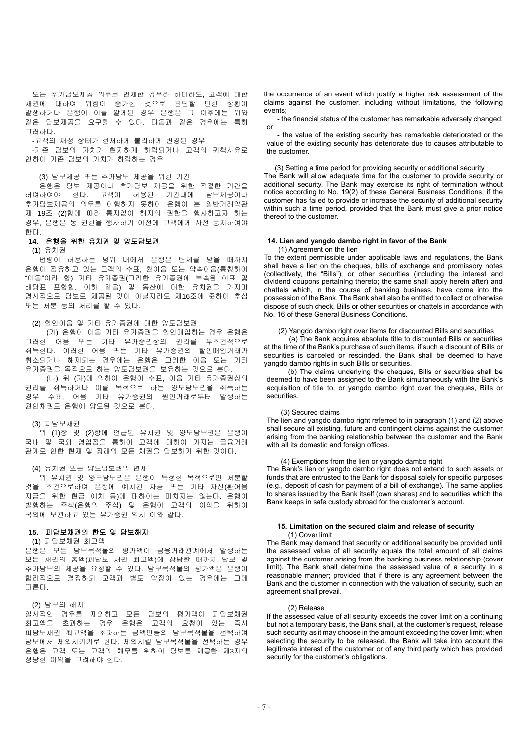또는 추가담보제공 의무를 면제한 경우라 하더라도, 고객에 대한 채권에 대하여 위험이 증가한 것으로 판단할 만한 상황이 발생하거나 은행이 이를 알게된 경우 은행은 그 이후에는 위와 같은 담보제공을 요구할 수 있다. 다음과 같은 경우에는 특히 그러하다.

-고객의 재정 상태가 현저하게 불리하게 변경된 경우

-기존 담보의 가치가 현저하게 하락되거나 고객의 귀책사유로 인하여 기존 담보의 가치가 하락하는 경우

#### (3) 담보제공 또는 추가담보 제공을 위한 기간

은행은 담보 제공이나 추가담보 제공을 위한 적절한 기간을 허여하여야 한다. 고객이 허용된 기간내에 담보제공이나 추가담보제공의 의무를 이행하지 못하여 은행이 본 일반거래약관 제 19조 (2)항에 따라 통지없이 해지의 권한을 행사하고자 하는 경우, 은행은 동 권한을 행사하기 이전에 고객에게 사전 통지하여야 한다.

## **14.** 은행을 위한 유치권 및 양도담보권

(1) 유치권

법령이 허용하는 범위 내에서 은행은 변제를 받을 때까지 은행이 점유하고 있는 고객의 수표, 환어음 또는 약속어음(통칭하여 "어음"이라 함) 기타 유가증권(그러한 유가증권에 부속된 이표 및 배당표 포함함. 이하 같음) 및 동산에 대한 유치권을 가지며 명시적으로 담보로 제공된 것이 아닐지라도 제16조에 준하여 추심 또는 처분 등의 처리를 할 수 있다.

## (2) 할인어음 및 기타 유가증권에 대한 양도담보권

 (가) 은행이 어음 기타 유가증권을 할인매입하는 경우 은행은 그러한 어음 또는 기타 유가증권상의 권리를 무조건적으로 취득한다. 이러한 어음 또는 기타 유가증권의 할인매입거래가 취소되거나 해제되는 경우에는 은행은 그러한 어음 또는 기타 유가증권을 목적으로 하는 양도담보권을 보유하는 것으로 본다.

(나) 위 (가)에 의하여 은행이 수표, 어음 기타 유가증권상의 권리를 취득하거나 이를 목적으로 하는 양도담보권을 취득하는 경우 수표, 어음 기타 유가증권의 원인거래로부터 발생하는 원인채권도 은행에 양도된 것으로 본다.

## (3) 피담보채권

위 (1)항 및 (2)항에 언급된 유치권 및 양도담보권은 은행이 국내 및 국외 영업점을 통하여 고객에 대하여 가지는 금융거래 관계로 인한 현재 및 장래의 모든 채권을 담보하기 위한 것이다.

#### (4) 유치권 또는 양도담보권의 면제

위 유치권 및 양도담보권은 은행이 특정한 목적으로만 처분할 것을 조건으로하여 은행에 예치된 자금 또는 기타 자산(환어음 지급을 위한 현금 예치 등)에 대하여는 미치지는 않는다. 은행이 발행하는 주식(은행의 주식) 및 은행이 고객의 이익을 위하여 국외에 보관하고 있는 유가증권 역시 이와 같다.

#### **15.** 피담보채권의 한도 및 담보해지

#### (1) 피담보채권 최고액

은행은 모든 담보목적물의 평가액이 금융거래관계에서 발생하는 모든 채권의 총액(피담보 채권 최고액)에 상당할 때까지 담보 및 추가담보의 제공을 요청할 수 있다. 담보목적물의 평가액은 은행이 합리적으로 결정하되 고객과 별도 약정이 있는 경우에는 그에 따른다.

#### (2) 담보의 해지

일시적인 경우를 제외하고 모든 담보의 평가액이 피담보채권 최고액을 초과하는 경우 은행은 고객의 요청이 있는 즉시 피담보채권 최고액을 초과하는 금액만큼의 담보목적물을 선택하여 담보에서 제외시키기로 한다. 제외시킬 담보목적물을 선택하는 경우 은행은 고객 또는 고객의 채무를 위하여 담보를 제공한 제3자의 정당한 이익을 고려해야 한다.

the occurrence of an event which justify a higher risk assessment of the claims against the customer, including without limitations, the following events;

- the financial status of the customer has remarkable adversely changed; or

- the value of the existing security has remarkable deteriorated or the value of the existing security has deteriorate due to causes attributable to the customer.

(3) Setting a time period for providing security or additional security

The Bank will allow adequate time for the customer to provide security or additional security. The Bank may exercise its right of termination without notice according to No. 19(2) of these General Business Conditions, if the customer has failed to provide or increase the security of additional security within such a time period, provided that the Bank must give a prior notice thereof to the customer.

## **14. Lien and yangdo dambo right in favor of the Bank**

(1) Agreement on the lien

To the extent permissible under applicable laws and regulations, the Bank shall have a lien on the cheques, bills of exchange and promissory notes (collectively, the "Bills"), or other securities (including the interest and dividend coupons pertaining thereto; the same shall apply herein after) and chattels which, in the course of banking business, have come into the possession of the Bank. The Bank shall also be entitled to collect or otherwise dispose of such check, Bills or other securities or chattels in accordance with No. 16 of these General Business Conditions.

## (2) Yangdo dambo right over items for discounted Bills and securities

 (a) The Bank acquires absolute title to discounted Bills or securities at the time of the Bank's purchase of such items, if such a discount of Bills or securities is canceled or rescinded, the Bank shall be deemed to have yangdo dambo rights in such Bills or securities.

 (b) The claims underlying the cheques, Bills or securities shall be deemed to have been assigned to the Bank simultaneously with the Bank's acquisition of title to, or yangdo dambo right over the cheques, Bills or securities.

#### (3) Secured claims

The lien and yangdo dambo right referred to in paragraph (1) and (2) above shall secure all existing, future and contingent claims against the customer arising from the banking relationship between the customer and the Bank with all its domestic and foreign offices.

## (4) Exemptions from the lien or yangdo dambo right

The Bank's lien or yangdo dambo right does not extend to such assets or funds that are entrusted to the Bank for disposal solely for specific purposes (e.g., deposit of cash for payment of a bill of exchange). The same applies to shares issued by the Bank itself (own shares) and to securities which the Bank keeps in safe custody abroad for the customer's account.

#### **15. Limitation on the secured claim and release of security** (1) Cover limit

The Bank may demand that security or additional security be provided until the assessed value of all security equals the total amount of all claims against the customer arising from the banking business relationship (cover limit). The Bank shall determine the assessed value of a security in a reasonable manner; provided that if there is any agreement between the Bank and the customer in connection with the valuation of security, such an agreement shall prevail.

## (2) Release

If the assessed value of all security exceeds the cover limit on a continuing but not a temporary basis, the Bank shall, at the customer's request, release such security as it may choose in the amount exceeding the cover limit; when selecting the security to be released, the Bank will take into account the legitimate interest of the customer or of any third party which has provided security for the customer's obligations.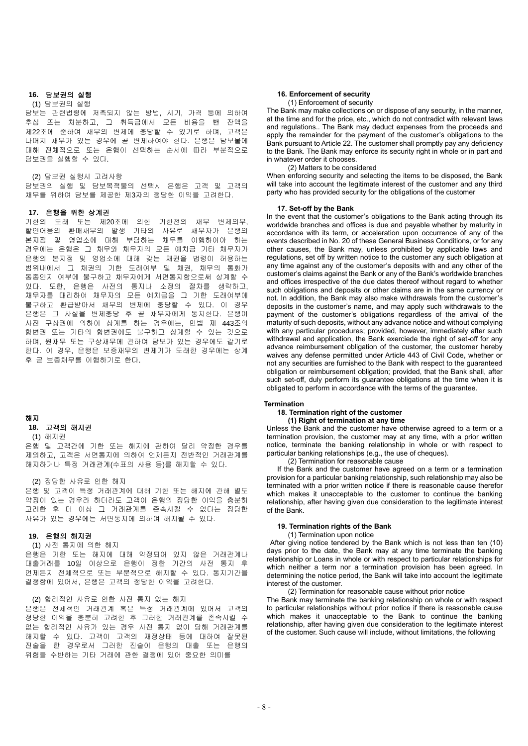# **16.** 담보권의 실행

## (1) 담보권의 실행

담보는 관련법령에 저촉되지 않는 방법, 시기, 가격 등에 의하여 추심 또는 처분하고, 그 취득금에서 모든 비용을 뺀 잔액을 제22조에 준하여 채무의 변제에 충당할 수 있기로 하며, 고객은 나머지 채무가 있는 경우에 곧 변제하여야 한다. 은행은 담보물에 대해 전체적으로 또는 은행이 선택하는 순서에 따라 부분적으로 담보권을 실행할 수 있다.

#### (2) 담보권 실행시 고려사항

담보권의 실행 및 담보목적물의 선택시 은행은 고객 및 고객의 채무를 위하여 담보를 제공한 제3자의 정당한 이익을 고려한다.

#### **17.** 은행을 위한 상계권

기한의 도래 또는 제20조에 의한 기한전의 채무 변제의무, 할인어음의 환매채무의 발생 기타의 사유로 채무자가 은행의 본지점 및 영업소에 대해 부담하는 채무를 이행하여야 하는 경우에는 은행은 그 채무와 채무자의 모든 예치금 기타 채무자가 은행의 본지점 및 영업소에 대해 갖는 채권을 법령이 허용하는 범위내에서 그 채권의 기한 도래여부 및 채권, 채무의 통화가 동종인지 여부에 불구하고 채무자에게 서면통지함으로써 상계할 수 있다. 또한, 은행은 사전의 통지나 소정의 절차를 생략하고, 채무자를 대리하여 채무자의 모든 예치금을 그 기한 도래여부에 불구하고 환급받아서 채무의 변제에 충당할 수 있다. 이 경우 은행은 그 사실을 변제충당 후 곧 채무자에게 통지한다. 은행이 사전 구상권에 의하여 상계를 하는 경우에는, 민법 제 443조의 항변권 또는 기타의 항변권에도 불구하고 상계할 수 있는 것으로 하며, 원채무 또는 구상채무에 관하여 담보가 있는 경우에도 같기로 한다. 이 경우, 은행은 보증채무의 변제기가 도래한 경우에는 상계 후 곧 보증채무를 이행하기로 한다.

#### 해지

#### **18.** 고객의 해지권

## (1) 해지권

은행 및 고객간에 기한 또는 해지에 관하여 달리 약정한 경우를 제외하고, 고객은 서면통지에 의하여 언제든지 전반적인 거래관계를 해지하거나 특정 거래관계(수표의 사용 등)를 해지할 수 있다.

(2) 정당한 사유로 인한 해지

은행 및 고객이 특정 거래관계에 대해 기한 또는 해지에 관해 별도 약정이 있는 경우라 하더라도 고객이 은행의 정당한 이익을 충분히 고려한 후 더 이상 그 거래관계를 존속시킬 수 없다는 정당한 사유가 있는 경우에는 서면통지에 의하여 해지될 수 있다.

#### **19.** 은행의 해지권

## (1) 사전 통지에 의한 해지

은행은 기한 또는 해지에 대해 약정되어 있지 않은 거래관계나 대출거래를 10일 이상으로 은행이 정한 기간의 사전 통지 후 언제든지 전체적으로 또는 부분적으로 해지할 수 있다. 통지기간을 결정함에 있어서, 은행은 고객의 정당한 이익을 고려한다.

(2) 합리적인 사유로 인한 사전 통지 없는 해지 은행은 전체적인 거래관계 혹은 특정 거래관계에 있어서 고객의 정당한 이익을 충분히 고려한 후 그러한 거래관계를 존속시킬 수 없는 합리적인 사유가 있는 경우 사전 통지 없이 당해 거래관계를 해지할 수 있다. 고객이 고객의 재정상태 등에 대하여 잘못된 진술을 한 경우로서 그러한 진술이 은행의 대출 또는 은행의 위험을 수반하는 기타 거래에 관한 결정에 있어 중요한 의미를

# **16. Enforcement of security**

## (1) Enforcement of security

The Bank may make collections on or dispose of any security, in the manner, at the time and for the price, etc., which do not contradict with relevant laws and regulations.. The Bank may deduct expenses from the proceeds and apply the remainder for the payment of the customer's obligations to the Bank pursuant to Article 22. The customer shall promptly pay any deficiency to the Bank. The Bank may enforce its security right in whole or in part and in whatever order it chooses.

## (2) Matters to be considered

When enforcing security and selecting the items to be disposed, the Bank will take into account the legitimate interest of the customer and any third party who has provided security for the obligations of the customer

## **17. Set-off by the Bank**

In the event that the customer's obligations to the Bank acting through its worldwide branches and offices is due and payable whether by maturity in accordance with its term, or acceleration upon occurrence of any of the events described in No. 20 of these General Business Conditions, or for any other causes, the Bank may, unless prohibited by applicable laws and regulations, set off by written notice to the customer any such obligation at any time against any of the customer's deposits with and any other of the customer's claims against the Bank or any of the Bank's worldwide branches and offices irrespective of the due dates thereof without regard to whether such obligations and deposits or other claims are in the same currency or not. In addition, the Bank may also make withdrawals from the customer's deposits in the customer's name, and may apply such withdrawals to the payment of the customer's obligations regardless of the arrival of the maturity of such deposits, without any advance notice and without complying with any particular procedures; provided, however, immediately after such withdrawal and application, the Bank exerciede the right of set-off for any advance reimbursement obligation of the customer, the customer hereby waives any defense permitted under Article 443 of Civil Code, whether or not any securities are furnished to the Bank with respect to the guaranteed obligation or reimbursement obligation; provided, that the Bank shall, after such set-off, duly perform its guarantee obligations at the time when it is obligated to perform in accordance with the terms of the guarantee.

## **Termination**

**18. Termination right of the customer**

 **(1) Right of termination at any time**

Unless the Bank and the customer have otherwise agreed to a term or a termination provision, the customer may at any time, with a prior written notice, terminate the banking relationship in whole or with respect to particular banking relationships (e.g., the use of cheques).

(2) Termination for reasonable cause

If the Bank and the customer have agreed on a term or a termination provision for a particular banking relationship, such relationship may also be terminated with a prior written notice if there is reasonable cause therefor which makes it unacceptable to the customer to continue the banking relationship, after having given due consideration to the legitimate interest of the Bank.

#### **19. Termination rights of the Bank**

(1) Termination upon notice

After giving notice tendered by the Bank which is not less than ten (10) days prior to the date, the Bank may at any time terminate the banking relationship or Loans in whole or with respect to particular relationships for which neither a term nor a termination provision has been agreed. In determining the notice period, the Bank will take into account the legitimate interest of the customer.

(2) Termination for reasonable cause without prior notice

The Bank may terminate the banking relationship on whole or with respect to particular relationships without prior notice if there is reasonable cause which makes it unacceptable to the Bank to continue the banking relationship, after having given due consideration to the legitimate interest of the customer. Such cause will include, without limitations, the following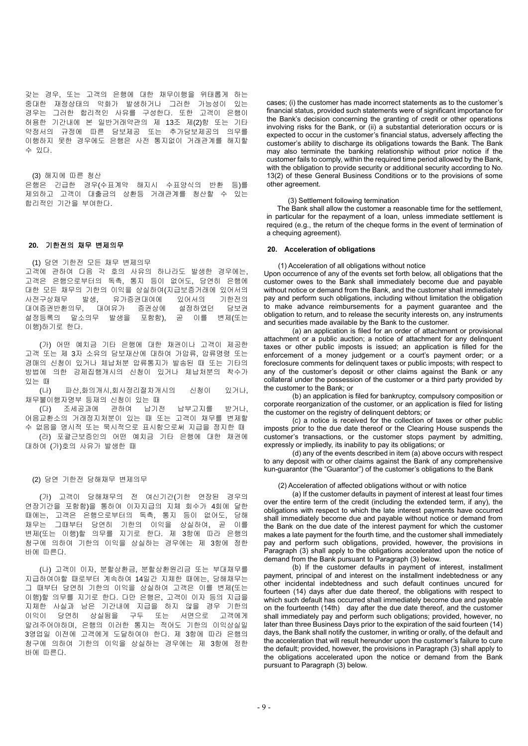갖는 경우, 또는 고객의 은행에 대한 채무이행을 위태롭게 하는 중대한 재정상태의 악화가 발생하거나 그러한 가능성이 있는 경우는 그러한 합리적인 사유를 구성한다. 또한 고객이 은행이 허용한 기간내에 본 일반거래약관의 제 13조 제(2)항 또는 기타 약정서의 규정에 따른 담보제공 또는 추가담보제공의 의무를 이행하지 못한 경우에도 은행은 사전 통지없이 거래관계를 해지할 수 있다.

(3) 해지에 따른 청산

은행은 긴급한 경우(수표계약 해지시 수표양식의 반환 등)를 제외하고 고객이 대출금의 상환등 거래관계를 청산할 수 있는 합리적인 기간을 부여한다.

## **20.** 기한전의 채무 변제의무

(1) 당연 기한전 모든 채무 변제의무 고객에 관하여 다음 각 호의 사유의 하나라도 발생한 경우에는, 고객은 은행으로부터의 독촉, 통지 등이 없어도, 당연히 은행에 대한 모든 채무의 기한의 이익을 상실하여(지급보증거래에 있어서의 사전구상채무 발생, 유가증권대여에 있어서의 기한전의 대여증권반환의무, 대여유가 증권상에 설정하였던 담보권 설정등록의 말소의무 발생을 포함함), 곧 이를 변제(또는 이행)하기로 한다.

 (가) 어떤 예치금 기타 은행에 대한 채권이나 고객이 제공한 고객 또는 제 3자 소유의 담보재산에 대하여 가압류, 압류명령 또는 경매의 신청이 있거나 체납처분 압류통지가 발송된 때 또는 기타의 방법에 의한 강제집행개시의 신청이 있거나 체납처분의 착수가 있는 때

 (나) 파산,화의개시,회사정리절차개시의 신청이 있거나, 채무불이행자명부 등재의 신청이 있는 때

 (다) 조세공과에 관하여 납기전 납부고지를 받거나, 어음교환소의 거래정지처분이 있는 때 또는 고객이 채무를 변제할 수 없음을 명시적 또는 묵시적으로 표시함으로써 지급을 정지한 때

(라) 포괄근보증인의 어떤 예치금 기타 은행에 대한 채권에 대하여 (가)호의 사유가 발생한 때

(2) 당연 기한전 당해채무 변제의무

 (가) 고객이 당해채무의 전 여신기간(기한 연장된 경우의 연장기간을 포함함)을 통하여 이자지급의 지체 회수가 4회에 달한 때에는, 고객은 은행으로부터의 독촉, 통지 등이 없어도, 당해 채무는 그때부터 당연히 기한의 이익을 상실하여, 곧 이를 변제(또는 이행)할 의무를 지기로 한다. 제 3항에 따라 은행의 청구에 의하여 기한의 이익을 상실하는 경우에는 제 3항에 정한 바에 따른다.

 (나) 고객이 이자, 분할상환금, 분할상환원리금 또는 부대채무를 지급하여야할 때로부터 계속하여 14일간 지체한 때에는, 당해채무는 그 때부터 당연히 기한의 이익을 상실하여 고객은 이를 변제(또는 이행)할 의무를 지기로 한다. 다만 은행은, 고객이 이자 등의 지급을 지체한 사실과 남은 기간내에 지급을 하지 않을 경우 기한의 이익이 당연히 상실됨을 구두 또는 서면으로 고객에게 알려주어야하며, 은행의 이러한 통지는 적어도 기한의 이익상실일 3영업일 이전에 고객에게 도달하여야 한다. 제 3항에 따라 은행의 청구에 의하여 기한의 이익을 상실하는 경우에는 제 3항에 정한 바에 따른다.

cases; (i) the customer has made incorrect statements as to the customer's financial status, provided such statements were of significant importance for the Bank's decision concerning the granting of credit or other operations involving risks for the Bank, or (ii) a substantial deterioration occurs or is expected to occur in the customer's financial status, adversely affecting the customer's ability to discharge its obligations towards the Bank. The Bank may also terminate the banking relationship without prior notice if the customer fails to comply, within the required time period allowed by the Bank, with the obligation to provide security or additional security according to No. 13(2) of these General Business Conditions or to the provisions of some other agreement.

(3) Settlement following termination

The Bank shall allow the customer a reasonable time for the settlement, in particular for the repayment of a loan, unless immediate settlement is required (e.g., the return of the cheque forms in the event of termination of a chequing agreement).

#### **20. Acceleration of obligations**

(1) Acceleration of all obligations without notice

Upon occurrence of any of the events set forth below, all obligations that the customer owes to the Bank shall immediately become due and payable without notice or demand from the Bank, and the customer shall immediately pay and perform such obligations, including without limitation the obligation to make advance reimbursements for a payment guarantee and the obligation to return, and to release the security interests on, any instruments and securities made available by the Bank to the customer.

 (a) an application is filed for an order of attachment or provisional attachment or a public auction; a notice of attachment for any delinquent taxes or other public imposts is issued; an application is filled for the enforcement of a money judgement or a court's payment order; or a foreclosure comments for delinquent taxes or public imposts; with respect to any of the customer's deposit or other claims against the Bank or any collateral under the possession of the customer or a third party provided by the customer to the Bank; or

 (b) an application is filed for bankruptcy, compulsory composition or corporate reorganization of the customer, or an application is filed for listing the customer on the registry of delinquent debtors; or

 (c) a notice is received for the collection of taxes or other public imposts prior to the due date thereof or the Clearing House suspends the customer's transactions, or the customer stops payment by admitting, expressly or impliedly, its inability to pay its obligations; or

 $(d)$  any of the events described in item (a) above occurs with respect to any deposit with or other claims against the Bank of any comprehensive kun-guarantor (the "Guarantor") of the customer's obligations to the Bank

#### (2) Acceleration of affected obligations without or with notice

(a) If the customer defaults in payment of interest at least four times over the entire term of the credit (including the extended term, if any), the obligations with respect to which the late interest payments have occurred shall immediately become due and payable without notice or demand from the Bank on the due date of the interest payment for which the customer makes a late payment for the fourth time, and the customer shall immediately pay and perform such obligations, provided, however, the provisions in Paragraph (3) shall apply to the obligations accelerated upon the notice of demand from the Bank pursuant to Paragraph (3) below.

(b) If the customer defaults in payment of interest, installment payment, principal of and interest on the installment indebtedness or any other incidental indebtedness and such default continues uncured for fourteen (14) days after due date thereof, the obligations with respect to which such default has occurred shall immediately become due and payable on the fourteenth (14th) day after the due date thereof, and the customer shall immediately pay and perform such obligations; provided, however, no later than three Business Days prior to the expiration of the said fourteen (14) days, the Bank shall notify the customer, in writing or orally, of the default and the acceleration that will result hereunder upon the customer's failure to cure the default; provided, however, the provisions in Paragraph (3) shall apply to the obligations accelerated upon the notice or demand from the Bank pursuant to Paragraph (3) below.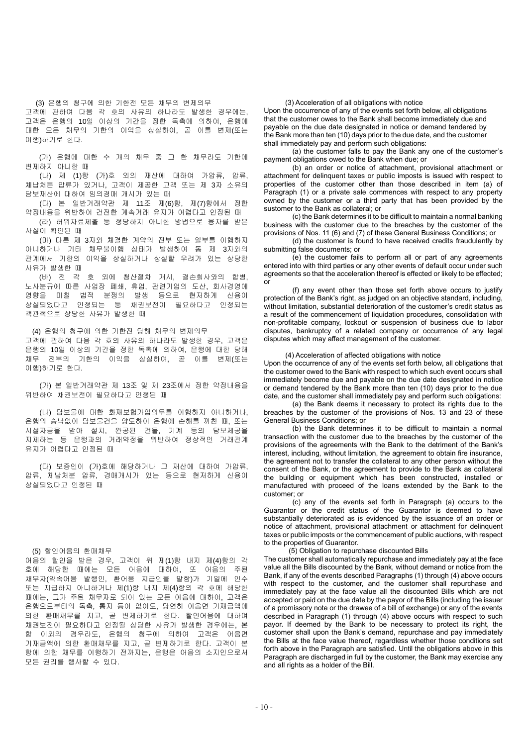(3) 은행의 청구에 의한 기한전 모든 채무의 변제의무 고객에 관하여 다음 각 호의 사유의 하나라도 발생한 경우에는, 고객은 은행의 10일 이상의 기간을 정한 독촉에 의하여, 은행에 대한 모든 채무의 기한의 이익을 상실하여, 곧 이를 변제(또는 이행)하기로 한다.

(가) 은행에 대한 수 개의 채무 중 그 한 채무라도 기한에 변제하지 아니한 때

 (나) 제 (1)항 (가)호 외의 재산에 대하여 가압류, 압류, 체납처분 압류가 있거나, 고객이 제공한 고객 또는 제 3자 소유의 담보재산에 대하여 임의경매 개시가 있는 때

(다) 본 일반거래약관 제 11조 제(6)항, 제(7)항에서 정한 약정내용을 위반하여 건전한 계속거래 유지가 어렵다고 인정된 때

(라) 허위자료제출 등 정당하지 아니한 방법으로 융자를 받은 사실이 확인된 때

 (마) 다른 제 3자와 체결한 계약의 전부 또는 일부를 이행하지 아니하거나 기타 채무불이행 상태가 발생하여 동 제 3자와의 관계에서 기한의 이익을 상실하거나 상실할 우려가 있는 상당한 사유가 발생한 때

(바) 전 각 호 외에 청산절차 개시, 결손회사와의 합병, 노사분규에 따른 사업장 폐쇄, 휴업, 관련기업의 도산, 회사경영에 영향을 미칠 법적 분쟁의 발생 등으로 현저하게 신용이 상실되었다고 인정되는 등 채권보전이 필요하다고 인정되는 객관적으로 상당한 사유가 발생한 때

(4) 은행의 청구에 의한 기한전 당해 채무의 변제의무 고객에 관하여 다음 각 호의 사유의 하나라도 발생한 경우, 고객은 은행의 10일 이상의 기간을 정한 독촉에 의하여, 은행에 대한 당해 채무 전부의 기한의 이익을 상실하여, 곧 이를 변제(또는 이행)하기로 한다.

 (가) 본 일반거래약관 제 13조 및 제 23조에서 정한 약정내용을 위반하여 채권보전이 필요하다고 인정된 때

 (나) 담보물에 대한 화재보험가입의무를 이행하지 아니하거나, 은행의 승낙없이 담보물건을 양도하여 은행에 손해를 끼친 때, 또는 시설자금을 받아 설치, 완공된 건물, 기계 등의 담보제공을 지체하는 등 은행과의 거래약정을 위반하여 정상적인 거래관계 유지가 어렵다고 인정된 때

 (다) 보증인이 (가)호에 해당하거나 그 재산에 대하여 가압류, 압류, 체납처분 압류, 경매개시가 있는 등으로 현저하게 신용이 상실되었다고 인정된 때

#### (5) 할인어음의 환매채무

어음의 할인을 받은 경우, 고객이 위 제(1)항 내지 제(4)항의 각 호에 해당한 때에는 모든 어음에 대하여, 또 어음의 주된 채무자(약속어음 발행인, 환어음 지급인을 말함)가 기일에 인수 또는 지급하지 아니하거나 제(1)항 내지 제(4)항의 각 호에 해당한 때에는, 그가 주된 채무자로 되어 있는 모든 어음에 대하여, 고객은 은행으로부터의 독촉, 통지 등이 없어도, 당연히 어음면 기재금액에 의한 환매채무를 지고, 곧 변제하기로 한다. 할인어음에 대하여 채권보전이 필요하다고 인정될 상당한 사유가 발생한 경우에는, 본 항 이외의 경우라도, 은행의 청구에 의하여 고객은 어음면 기재금액에 의한 환매채무를 지고, 곧 변제하기로 한다. 고객이 본 항에 의한 채무를 이행하기 전까지는, 은행은 어음의 소지인으로서 모든 권리를 행사할 수 있다.

(3) Acceleration of all obligations with notice

Upon the occurrence of any of the events set forth below, all obligations that the customer owes to the Bank shall become immediately due and payable on the due date designated in notice or demand tendered by the Bank more than ten (10) days prior to the due date, and the customer shall immediately pay and perform such obligations:

(a) the customer falls to pay the Bank any one of the customer's payment obligations owed to the Bank when due; or

 (b) an order or notice of attachment, provisional attachment or attachment for delinquent taxes or public imposts is issued with respect to properties of the customer other than those described in item (a) of Paragraph (1) or a private sale commences with respect to any property owned by the customer or a third party that has been provided by the sustomer to the Bank as collateral; or

 (c) the Bank determines it to be difficult to maintain a normal banking business with the customer due to the breaches by the customer of the provisions of Nos. 11 (6) and (7) of these General Business Conditions; or

 (d) the customer is found to have received credits fraudulently by submitting false documents; or

 (e) the customer fails to perform all or part of any agreements entered into with third parties or any other events of default occur under such agreements so that the acceleration thereof is effected or likely to be effected; or

 (f) any event other than those set forth above occurs to justify protection of the Bank's right, as judged on an objective standard, including, without limitation, substantial deterioration of the customer's credit status as a result of the commencement of liquidation procedures, consolidation with non-profitable company, lockout or suspension of business due to labor disputes, bankruptcy of a related company or occurrence of any legal disputes which may affect management of the customer.

## (4) Acceleration of affected obligations with notice

Upon the occurrence of any of the events set forth below, all obligations that the customer owed to the Bank with respect to which such event occurs shall immediately become due and payable on the due date designated in notice or demand tendered by the Bank more than ten (10) days prior to the due date, and the customer shall immediately pay and perform such obligations:

 (a) the Bank deems it necessary to protect its rights due to the breaches by the customer of the provisions of Nos. 13 and 23 of these General Business Conditions; or

 (b) the Bank determines it to be difficult to maintain a normal transaction with the customer due to the breaches by the customer of the provisions of the agreements with the Bank to the detriment of the Bank's interest, including, without limitation, the agreement to obtain fire insurance, the agreement not to transfer the collateral to any other person without the consent of the Bank, or the agreement to provide to the Bank as collateral the building or equipment which has been constructed, installed or manufactured with proceed of the loans extended by the Bank to the customer; or

 (c) any of the events set forth in Paragraph (a) occurs to the Guarantor or the credit status of the Guarantor is deemed to have substantially deteriorated as is evidenced by the issuance of an order or notice of attachment, provisional attachment or attachment for delinquent taxes or public imposts or the commencement of public auctions, with respect to the properties of Guarantor.

## (5) Obligation to repurchase discounted Bills

The customer shall automatically repurchase and immediately pay at the face value all the Bills discounted by the Bank, without demand or notice from the Bank, if any of the events described Paragraphs (1) through (4) above occurs with respect to the customer, and the customer shall repurchase and immediately pay at the face value all the discounted Bills which are not accepted or paid on the due date by the payor of the Bills (including the issuer of a promissory note or the drawee of a bill of exchange) or any of the events described in Paragraph (1) through (4) above occurs with respect to such payor. If deemed by the Bank to be necessary to protect its right, the customer shall upon the Bank's demand, repurchase and pay immediately the Bills at the face value thereof, regardless whether those conditions set forth above in the Paragraph are satisfied. Until the obligations above in this Paragraph are discharged in full by the customer, the Bank may exercise any and all rights as a holder of the Bill.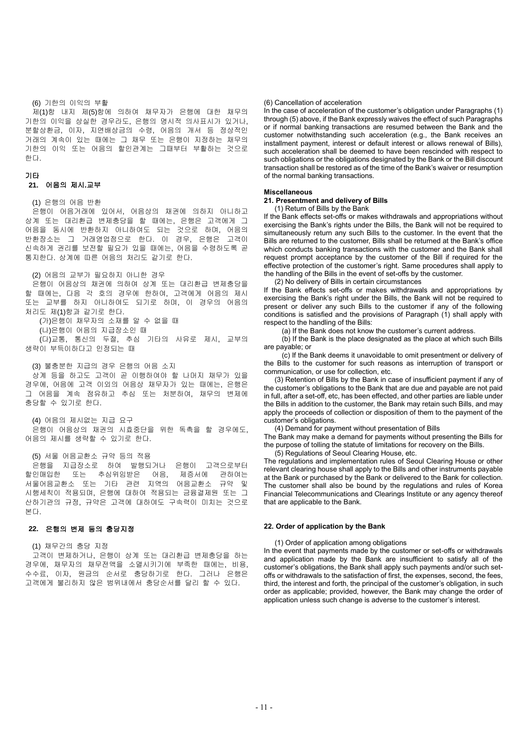#### (6) 기한의 이익의 부활

제(1)항 내지 제(5)항에 의하여 채무자가 은행에 대한 채무의 기한의 이익을 상실한 경우라도, 은행의 명시적 의사표시가 있거나, 분할상환금, 이자, 지연배상금의 수령, 어음의 개서 등 정상적인 거래의 계속이 있는 때에는 그 채무 또는 은행이 지정하는 채무의 기한의 이익 또는 어음의 할인관계는 그때부터 부활하는 것으로 한다.

## 기타

## **21.** 어음의 제시**.**교부

## (1) 은행의 어음 반환

은행이 어음거래에 있어서, 어음상의 채권에 의하지 아니하고 상계 또는 대리환급 변제충당을 할 때에는, 은행은 고객에게 그 어음을 동시에 반환하지 아니하여도 되는 것으로 하며, 어음의 반환장소는 그 거래영업점으로 한다. 이 경우, 은행은 고객이 신속하게 권리를 보전할 필요가 있을 때에는, 어음을 수령하도록 곧 통지한다. 상계에 따른 어음의 처리도 같기로 한다.

(2) 어음의 교부가 필요하지 아니한 경우

은행이 어음상의 채권에 의하여 상계 또는 대리환급 변제충당을 할 때에는, 다음 각 호의 경우에 한하여, 고객에게 어음의 제시 또는 교부를 하지 아니하여도 되기로 하며, 이 경우의 어음의 처리도 제(1)항과 같기로 한다.

 (가)은행이 채무자의 소재를 알 수 없을 때 (나)은행이 어음의 지급장소인 때 (다)교통, 통신의 두절, 추심 기타의 사유로 제시, 교부의 생략이 부득이하다고 인정되는 때

(3) 불충분한 지급의 경우 은행의 어음 소지 상계 등을 하고도 고객이 곧 이행하여야 할 나머지 채무가 있을 경우에, 어음에 고객 이외의 어음상 채무자가 있는 때에는, 은행은 그 어음을 계속 점유하고 추심 또는 처분하여, 채무의 변제에 충당할 수 있기로 한다.

(4) 어음의 제시없는 지급 요구 은행이 어음상의 채권의 시효중단을 위한 독촉을 할 경우에도, 어음의 제시를 생략할 수 있기로 한다.

(5) 서울 어음교환소 규약 등의 적용

은행을 지급장소로 하여 발행되거나 은행이 고객으로부터 할인매입한 또는 추심위임받은 어음, 제증서에 관하여는 서울어음교환소 또는 기타 관련 지역의 어음교환소 규약 및 시행세칙이 적용되며, 은행에 대하여 적용되는 금융결제원 또는 그 산하기관의 규정, 규약은 고객에 대하여도 구속력이 미치는 것으로 본다.

## **22.** 은행의 변제 등의 충당지정

#### (1) 채무간의 충당 지정

고객이 변제하거나, 은행이 상계 또는 대리환급 변제충당을 하는 경우에, 채무자의 채무전액을 소멸시키기에 부족한 때에는, 비용, 수수료, 이자, 원금의 순서로 충당하기로 한다. 그러나 은행은 고객에게 불리하지 않은 범위내에서 충당순서를 달리 할 수 있다.

## (6) Cancellation of acceleration

In the case of acceleration of the customer's obligation under Paragraphs (1) through (5) above, if the Bank expressly waives the effect of such Paragraphs or if normal banking transactions are resumed between the Bank and the customer notwithstanding such acceleration (e.g., the Bank receives an installment payment, interest or default interest or allows renewal of Bills), such acceleration shall be deemed to have been rescinded with respect to such obligations or the obligations designated by the Bank or the Bill discount transaction shall be restored as of the time of the Bank's waiver or resumption of the normal banking transactions.

## **Miscellaneous**

**21. Presentment and delivery of Bills**

(1) Return of Bills by the Bank

If the Bank effects set-offs or makes withdrawals and appropriations without exercising the Bank's rights under the Bills, the Bank will not be required to simultaneously return any such Bills to the customer. In the event that the Bills are returned to the customer, Bills shall be returned at the Bank's office which conducts banking transactions with the customer and the Bank shall request prompt acceptance by the customer of the Bill if required for the effective protection of the customer's right. Same procedures shall apply to the handling of the Bills in the event of set-offs by the customer.

(2) No delivery of Bills in certain circumstances

If the Bank effects set-offs or makes withdrawals and appropriations by exercising the Bank's right under the Bills, the Bank will not be required to present or deliver any such Bills to the customer if any of the following conditions is satisfied and the provisions of Paragraph (1) shall apply with respect to the handling of the Bills:

(a) If the Bank does not know the customer's current address.

 (b) If the Bank is the place designated as the place at which such Bills are payable; or

 (c) If the Bank deems it unavoidable to omit presentment or delivery of the Bills to the customer for such reasons as interruption of transport or communication, or use for collection, etc.

(3) Retention of Bills by the Bank in case of insufficient payment if any of the customer's obligations to the Bank that are due and payable are not paid in full, after a set-off, etc, has been effected, and other parties are liable under the Bills in addition to the customer, the Bank may retain such Bills, and may apply the proceeds of collection or disposition of them to the payment of the customer's obligations.

(4) Demand for payment without presentation of Bills

The Bank may make a demand for payments without presenting the Bills for the purpose of tolling the statute of limitations for recovery on the Bills. (5) Regulations of Seoul Clearing House, etc.

The regulations and implementation rules of Seoul Clearing House or other relevant clearing house shall apply to the Bills and other instruments payable at the Bank or purchased by the Bank or delivered to the Bank for collection. The customer shall also be bound by the regulations and rules of Korea

Financial Telecommunications and Clearings Institute or any agency thereof

## **22. Order of application by the Bank**

that are applicable to the Bank.

(1) Order of application among obligations

In the event that payments made by the customer or set-offs or withdrawals and application made by the Bank are insufficient to satisfy all of the customer's obligations, the Bank shall apply such payments and/or such setoffs or withdrawals to the satisfaction of first, the expenses, second, the fees, third, the interest and forth, the principal of the customer's obligation, in such order as applicable; provided, however, the Bank may change the order of application unless such change is adverse to the customer's interest.